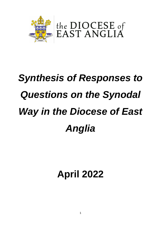

# *Synthesis of Responses to Questions on the Synodal Way in the Diocese of East Anglia*

**April 2022**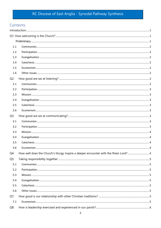## RC Diocese of East Anglia - Synodal Pathway Synthesis

## Contents

| 1.1    |                                                                                     |  |
|--------|-------------------------------------------------------------------------------------|--|
| 1.2    |                                                                                     |  |
| 1.3    |                                                                                     |  |
| 1.4    |                                                                                     |  |
| 1.5    |                                                                                     |  |
| 1.6    |                                                                                     |  |
| $Q2$ : |                                                                                     |  |
| 2.1    |                                                                                     |  |
| 2.2    |                                                                                     |  |
| 2.3    |                                                                                     |  |
| 2.4    |                                                                                     |  |
| 2.5    |                                                                                     |  |
| 2.6    |                                                                                     |  |
| $Q3$ : |                                                                                     |  |
| 3.1    |                                                                                     |  |
| 3.2    |                                                                                     |  |
| 3.3    |                                                                                     |  |
| 3.4    |                                                                                     |  |
| 3.5    |                                                                                     |  |
| 3.6    |                                                                                     |  |
| $Q4$ : | How well does the Church's liturgy inspire a deeper encounter with the Risen Lord?4 |  |
| $Q5$ : |                                                                                     |  |
| 5.1    |                                                                                     |  |
| 5.2    |                                                                                     |  |
| 5.3    |                                                                                     |  |
| 5.4    |                                                                                     |  |
| 5.5    |                                                                                     |  |
| 5.6    |                                                                                     |  |
| $Q7$ : |                                                                                     |  |
| 7.1    |                                                                                     |  |
| $Q8$ : |                                                                                     |  |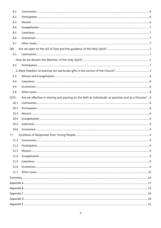| 8.1  |                                                                                                      |  |
|------|------------------------------------------------------------------------------------------------------|--|
| 8.2  |                                                                                                      |  |
| 8.3  |                                                                                                      |  |
| 8.4  |                                                                                                      |  |
| 8.5  |                                                                                                      |  |
| 8.6  |                                                                                                      |  |
| 8.7  |                                                                                                      |  |
| Q9:  |                                                                                                      |  |
| 9.1  |                                                                                                      |  |
|      |                                                                                                      |  |
| 9.2  |                                                                                                      |  |
|      |                                                                                                      |  |
| 9.3  |                                                                                                      |  |
| 9.4  |                                                                                                      |  |
| 9.5  |                                                                                                      |  |
| 9.6  |                                                                                                      |  |
| Q10: | Are we effective in sharing and passing on the faith as individuals, as parishes and as a Diocese? 8 |  |
| 10.1 |                                                                                                      |  |
| 10.2 |                                                                                                      |  |
| 10.3 |                                                                                                      |  |
| 10.4 |                                                                                                      |  |
| 10.5 |                                                                                                      |  |
| 10.6 |                                                                                                      |  |
| 11.  |                                                                                                      |  |
| 11.1 |                                                                                                      |  |
| 11.2 |                                                                                                      |  |
| 11.3 |                                                                                                      |  |
| 11.4 |                                                                                                      |  |
| 11.5 |                                                                                                      |  |
| 11.6 |                                                                                                      |  |
| 11.7 |                                                                                                      |  |
|      |                                                                                                      |  |
|      |                                                                                                      |  |
|      |                                                                                                      |  |
|      |                                                                                                      |  |
|      |                                                                                                      |  |
|      |                                                                                                      |  |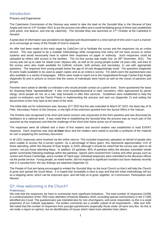## <span id="page-3-0"></span>Introduction

#### Process and Experience

The Catechesis Commission of the Diocese was asked to take the lead on the Synodal Way in the Diocese of East Anglia and met on 14<sup>th</sup> October 2021 to put the process into effect and a small facilitating group of three was established (one priest, one deacon, and one lay catechist). The Synodal Way was launched on 17<sup>th</sup> October at the Cathedral in Norwich

A great deal of information was provided to be digested and disseminated in a short period of time and in such a manner as to encourage as many of the People of God to respond.

An offer had been made at this early stage by CathCom Ltd to facilitate the survey and the responses via an online service. This was agreed to be a suitable methodology while recognising that many will not have access to online systems and would necessarily have to submit their responses on paper or indirectly. Such responses could be uploaded by others with access to the facilities. The On-line survey was made 'live' on 28<sup>th</sup> November, 2021. The survey was set up to cater for Adults (over 18years old), as well as for young people (under 18 years old), and links to the survey were also made available for Catholic schools, both primary and secondary, to use with appropriate questions. The response from young people below the age of 18 was disappointingly small. The questions (Appendix A) were made available to be used as paper copies and as an online e-survey. For adult users the questionnaire was also available in a variety of languages. Efforts were made to reach out to the marginalised through Caritas East Anglia (Appendix B) and in prisons to ensure that the voices of individuals were heard as well as the voices of parishes and groups.

Parishes were asked to identify co-ordinators who would provide contact at a parish level. Some questioned the basis for choosing these 'representatives': it was most expedient/practical to seek volunteers, often approached by parish clergy, since people do not, as a rule, step forwards to offer their services. Guidelines were established to help the parish co-ordinators and the Parish Priests in implementing the process and sent out (Appendix C) and setting the discernment of the Holy Spirt at the heart of the work.

The initial date set for submissions was January 22<sup>nd</sup> 2022 but this was extended to March 8<sup>th</sup> 2022, the feast day of St Felix, Secondary Patron of the Diocese, in the light of the extension granted from the Synod Office in the Vatican.

The timeline was recognised to be short and some concern was expressed at this from parishes and was discussed by facilitators at a national level. It was noted that in establishing the Synodal Way the process was as much part of the outcome as the responses and that the challenge of the short time frame arose out of necessity.

The responses were all collated and a team of first readers and second readers was established to read EVERY response. Each response was read **at least** twice and the readers were asked to provide a synthesis of the material for use in preparing this summary document.

In all 1031 responses were received via the online returns. This included responses uploaded on behalf of people who were unable to access the e-survey system. As a percentage of Mass goers, this represents approximately 11% of those attending, within the Diocese of East Anglia, in 2020, although it should be noted that the survey was open to all comers, not just those attending Mass. In addition, 24 parishes, 46% of parishes within the diocese, submitted 'whole parish' summaries following meetings within the parishes, reports were received from Caritas and other groups such as Justice and Peace Cambridge, and a number of 'hard-copy' individual responses were submitted to the diocesan offices via the postal service. Young people, as noted earlier, did not respond in significant numbers but have relatively recently met in a synodal form: the key findings are attached (Appendix D).

The People of God are being encouraged to embed the Synodal Way on the local Church so that it will help the Church to grow and spread the Good News. It is hoped that Synodality is here to stay and that the initial methodology will act as a stepping stone, which can be improved upon, and will help us to grow, together, on Communion, Participation and Mission.

## <span id="page-3-1"></span>Q1: How welcoming is the Church?

#### <span id="page-3-2"></span>Preliminary:

We note that the responses we have to summarise have significant limitations. The total number of responses (1039) is a small proportion of the 7550 mass attenders (Pastoral Statistics 2020, excluding special communities) or the 17,600 identified pre-Covid. The questionnaire was intended also for non-churchgoers, and some responded, so this is a small proportion of our Catholic population. The written comments are a smaller subset of all respondents – little over 500. We noted that the number of responses from younger parishioners (especially those under 18 were very few. So this is not really a report on opinion, but an identification of issues which need more attention than others.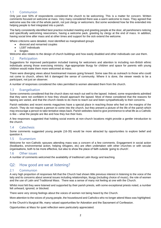#### <span id="page-4-0"></span>1.1 Communion

Only just over 50% of respondents considered the church to be welcoming. This is a matter for concern. Written comments focused on welcome at mass. Very many considered there was a warm welcome to mass. They agreed that welcome was the role of the whole parish, not just clergy or welcomers. But some wondered how far this extended into helping people to feel integrated into a parish.

The fairly consistently identified best practice included meeting and greeting people at the door, all parishioners noticing and specifically welcoming newcomers, having a welcome pack, greeting by clergy at the end of mass. In addition, having social time after mass and at other times and support for the sick extend the welcome.

Where criticisms were detailed, most identified as marginalised groups

- divorced and remarried couples
- LGBT individuals
- **Singles**

Welcome also relates to the design of church buildings and how easily disabled and other individuals can use them.

#### <span id="page-4-1"></span>1.2 Participation

Suggestions for improved participation included training for welcomers and attention to including non-British ethnic individuals among those exercising ministry. Age-appropriate liturgy for children and space for parents with young children would make them more welcomed at mass.

There were diverging views about livestreamed masses going forward. Some saw this as outreach to those who could not come to church, others felt it damaged the sense of community. Where it is done, the viewer needs to be a participant, not just an observer.

A number of responses considered the roles permitted to women alienated them from the church.

#### <span id="page-4-2"></span>1.3 Evangelisation

Some comments considered that the church does not reach out well to the lapsed. Indeed, some respondents admitted that they were not confident in how they should approach the lapsed. Most of these considered that the reasons for lapsing are varied, and that the church needs to do more to reach out and listen sympathetically to their concerns.

Parish websites and recent events magazines have a special place in reaching those who feel on the margins of the church. They do not require a person to come into the church, but they present a picture of the life of the parish which may encourage a person to take tentative steps back. Parish websites need to give prominence to what life as a Catholic is like – what the people are like and how they live their lives.

A few responses suggested that holding social events at non-church locations might provide a gentler introduction to the church.

#### <span id="page-4-3"></span>1.4 Catechesis

Some comments suggested young people (16-35) would be more attracted by opportunities to explore belief and question it.

#### <span id="page-4-4"></span>1.5 Ecumenism

Welcome for non-Catholic spouses attending mass was a concern of a few comments. Engagement in social action (foodbanks, environmental action, helping refugees, etc) are often undertaken with other churches or with secular organisations, both to be more effective, but also to show the place of faith outside 'going to church'.

#### <span id="page-4-5"></span>1.6 Other issues

<span id="page-4-6"></span>A number of comments welcomed the availability of traditional Latin liturgy and teaching.

## Q2: How good are we at listening?

#### <span id="page-4-7"></span>2.1 Communion

A very high proportion of responses felt that the Church had shown little previous interest in listening to the voice of the laity and its concerns about several issues including relationships, liturgy (including choice of music), the role of women and the use of Latin and Traditional Mass. There was a sense of many not feeling at one with the Church.

Whilst most felt they were listened and supported by their parish priests, with some exceptional priests noted, a number felt unheard, ignored, or blocked.

There were very strong feelings about the voices of women not being heard by the Church.

More attention to the voices of young people, the housebound and Catholics who no longer attend Mass was highlighted.

In the Church's liturgical life, many valued opportunities for Adoration and the Sacrament of Confession.

Opportunities at Mass for quiet reflection were particularly appreciated.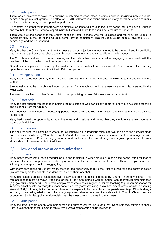#### <span id="page-5-0"></span>2.2 Participation

There was a diversity of ways for engaging in listening to each other in some parishes, including prayer groups, communion groups, cell groups. The effect of COVID lockdown restrictions curtailed many parish activities and many felt the need to re-energise such parish opportunities.

By contrast, a number felt that there were no effective forums for dialogue in their own parish including Parish Councils and that both formal and informal opportunities to listen and share faith should be a feature of parish life.

There was a strong sense that the Church needs to listen to those who feel excluded and feel they are unable to participate fully in the life of the Church, some leaving completely. This includes, young people, divorced, LGBT community, and the housebound.

#### <span id="page-5-1"></span>2.3 Mission

Many felt that the Church's commitment to peace and social justice was not listened to by the world and its credibility had been damaged by sexual abuse and subsequent cover ups, misogyny, and lack of inclusiveness.

The Church needs attend to those on the margins of society in their own communities, engaging more robustly with the problems of the world which need our hope and compassion.

Opportunities for parishes to come together to discuss their role in their future mission of the Church were valued building upon the synodal process, and the Alive in Faith campaign.

#### <span id="page-5-2"></span>2.4 Evangelisation

Many Catholics do not feel they can share their faith with others, inside and outside, which is to the detriment of the Church.

Strong feeling that the Church was ignored or derided for its teachings and that these were often misunderstood in the wider world.

The need to reach out to other faiths whilst not compromising our own faith was seen as important.

#### <span id="page-5-3"></span>2.5 Catechesis

Many felt that support was needed in helping them to listen to God particularly in prayer and would welcome teaching and guidance from the Church.

The need for regular courses educating people about their Catholic faith, prayer traditions and Bible study was highlighted.

Many had valued the opportunity to attend retreats and missions and hoped that they would once again become a feature of Parish life.

#### <span id="page-5-4"></span>2.6 Ecumenism

The need for humility in listening to what other Christian religious traditions might offer would help to find out what binds not separates us. Attending 'Churches Together' and other ecumenical events were examples of working together with other denominations. Practical engagement in food banks and other social programmes gave opportunities to work alongside and listen to other faith traditions.

## <span id="page-5-5"></span>Q3: How good are we at communicating?

#### <span id="page-5-6"></span>3.1 Communion

Many share freely within parish friendships but find it difficult in wider groups or outside the parish, often for fear of criticism. There was appreciation for sharing groups within the parish and desire for more. There were pleas for love, listening, and respect: not the 'wagging finger'.

With many only attending Sunday Mass, there is little opportunity to build the trust required for good communication ('we are strangers to each other so don't feel able to share openly').

Many expressed a sense of alienation, even bitterness from not being listened to by 'Church', hierarchy, clergy. This was ascribed to marginal views (traditional or liberal); to youth, being a woman, and to race; to irregular circumstances (e.g. gay family members). There were complaints of weakness in regard to Church teaching (e.g. recommendation for 'more steadfast beliefs, not trying to accommodate sinners (homosexuality)', as well as lament for 'no room for dissenting views (LGBT)'; of being talked to but not listened to, especially by hierarchy above parish level (e.g. 'Church always imposing, rules, telling what to do'). And many expressed shame because of scandals within Church, Church practice or doctrine. Such disappointment/complaint was the most common theme in the answers.

#### <span id="page-5-7"></span>3.2 Participation

Many feel free to share openly with their priest but a number feel that he is too busy. None said they felt free to speak truth in love to their priest. Some felt this Synod was a step towards being listened to.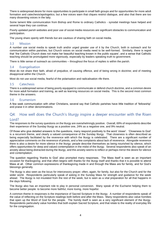There is widespread desire for more opportunities to participate in small faith groups and for opportunities for more adult formation and catechesis/apologetics; but a few voices warn that cliques restrict dialogue, and also that there are too many dissenting voices in the laity.

Some lament little communication from Bishop and Rome to ordinary Catholics - synodal meetings have helped and several hope they can continue.

Poorly updated parish websites and poor use of social media resources are significant obstacles to communication and participation.

The young share openly with friends but are cautious of sharing faith on social media.

#### <span id="page-6-0"></span>3.3 Mission

A number use social media to speak truth and/or urged greater use of it by the Church, both in outreach and for communication within parishes, but Church voices on social media need to be well-formed. Similarly, there is regret that 'the Catholic Church does not make her beautiful teaching known in the public square'; and a sense that Catholic teaching should be promulgated more vigorously, especially by leaders speaking truth to government.

There is little sense of outreach as communities – throughout the focus of replies is within the parish.

#### <span id="page-6-1"></span>3.4 Evangelisation

Most do not share their faith, afraid of prejudice, of causing offence, and of being wrong in doctrine; and of meeting disapproval within the Church.

Most do not use social media, fearful of the polarisation and radicalisation rife there.

#### <span id="page-6-2"></span>3.5 Catechesis

There is a widespread sense of being poorly equipped to communicate or defend church doctrine, and a common desire for more adult formation and training, as well as learning resources on social media. This is the second most common theme in the answers.

#### <span id="page-6-3"></span>3.6 Ecumenism

A few seek communication with other Christians, several say that Catholic parishes have little tradition of 'fellowship' and praise it in other denominations.

## <span id="page-6-4"></span>Q4: How well does the Church's liturgy inspire a deeper encounter with the Risen Lord?

The responses to the survey questions on the liturgy are overwhelmingly positive. Overall, 69% of respondents describe their experience of the Sunday liturgy as a positive one, 24% as a negative one, and 9% neutral.

Of those who give detailed answers to the questions, many respond positively to the word 'closer'. 'Closeness to God' is a recurrent theme, and clearly a valued consequence of the Sunday liturgy. That closeness is often described as being especially facilitated by the reverence with which the liturgy is celebrated. There are a significant number of appreciative comments on the reverence of priests, and a few complaints about lack of reverence. Alongside reverence there is also a desire for more silence in the liturgy: people describe themselves as being nourished by silence, which offers opportunities for deep and valued contemplation in the midst of the liturgy. Several respondents also speak of an anxiety about being distracted during the liturgy, and this anxiety seems to reflect or perhaps mirror the desire for silence and contemplation.

The question regarding 'thanks to God' also prompted many responses. The Mass itself is seen as an important occasion for thanksgiving; and that often begins with thanks for the liturgy itself and thanks that it is possible to attend Mass at all. Other common expressions of thanksgiving made in and through the Mass are for family, and for God's blessings generally.

The liturgy is also seen as the locus for intercessory prayer; often, again, for family, but also for the Church and for the wider world. Respondents particularly speak of asking in the Sunday Mass for strength and guidance for the week ahead. The liturgy is not insulated from the rest of the week, but is seen as a vital preparation for all that happens in the days following.

The liturgy also has an important role to play in personal conversion. Many speak of the Eucharist helping them to become better people: to become more faithful, more loving, more hopeful.

A common theme in responses is the importance of Sacred Scripture in the liturgy. A number of respondents speak of the value of reflecting on the Scripture readings both before and after the Mass. Many respondents also value homilies that open up the Word of God for the people. The homily itself is seen as a very significant element of the liturgy. Respondents particularly value homilies that both explain Sacred Scripture, and that relate to the reality of everyday life for the congregation.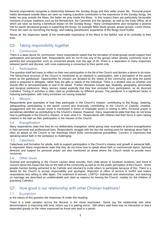Several respondents recognise a relationship between the Sunday liturgy and their wider prayer life. Personal prayer habits developed outside Mass are seen as making a positive contribution to the experience of the Sunday liturgy: the better we pray outside the Mass, the better we pray inside the Mass. In this respect there are particularly favourable mentions of prayer traditions such as the Benedictine, the Carmelite and the Ignatian, as well as the Daily Office, all of which are seen as having a beneficial impact on the Sunday liturgy. Many correspondents also recognise a positive role for parish devotional groups in supporting the liturgy: for example Bible Study groups, prayer groups, Lectio Divina. These are seen as nourishing the liturgy, and making parishioners' experience of the liturgy more fruitful.

Above all, the responses speak of the inestimable importance of the Mass to the faithful, and of its centrality to their lives.

## <span id="page-7-0"></span>Q5: Taking responsibility together

#### <span id="page-7-1"></span>5.1 Communion

There is a deep desire for communion: many respondents stated that the formation of small groups would support their participation and personal faith. Respondents who do not fit into any of the groups which already commonly exist in parishes feel unsupported, such as unmarried people over the age of 35. There is a separation in many responses between parish and diocese, with most expressing a connection to their parish only.

#### <span id="page-7-2"></span>5.2 Participation

The question itself led many to reflect on their own participation in the life of the Church and declare a desire to do more. The hierarchical structure of the Church is mentioned as an obstacle to participation, with a perception of the parish priest as the gatekeeper. Opportunities for mission are dictated by the needs of the community and what the parish priest is prepared to delegate, rather than the gifts or needs of the individual. There is a divided view on whether one should offer to serve/participate or wait to be asked. Further obstacles include age, disability, geography, personality and liturgical preference. Many women stated explicitly that they feel excluded from participation, as do divorced Catholics. Timing of activities is often cited as problematic by different groups. The pandemic is a significant factor in reducing participation, with many ministries not having restarted.

#### <span id="page-7-3"></span>5.3 Mission

Respondents give examples of how they participate in the Church's mission: contributing to the liturgy, cleaning, safeguarding, participating in the parish council and financially contributing to the Church or Catholic charities. Engagement with the secular world is mentioned in terms of charitable works or writing to MPs. Personal prayer is sometimes identified as contributing to the Church's mission. However, many respondents state that they do not know how to participate in the Church's mission, or even what it is. Respondents with children feel their focus is upon raising children in the faith as their participation in the mission of the Church.

#### <span id="page-7-4"></span>5.4 Evangelisation

Many respondents state that they do not deliberately evangelise, whilst giving clear examples of active evangelisation in their personal and professional lives. Respondents struggle with the fact the starting point for speaking about faith is often an attack on the Church or her teachings which limits conversational possibilities. Concern is expressed that speaking about faith in the workplace is challenging.

#### <span id="page-7-5"></span>5.5 Catechesis

Catechesis and formation for adults, both to support participation in the Church's mission and growth in personal faith, is requested. Many respondents state that they do not know how to speak about faith or controversial topics. Spiritual direction and support for personal prayer are also mentioned as areas where the Church needs to provide more resources.

#### <span id="page-7-6"></span>5.6 Other issues

Scandal and wrongdoing in the Church causes deep wounds, from child abuse to localised incidents, and there is concern about the impact this has on the faith of the community as well as on the public perception of the Church. Some people mention feeling ashamed to be Catholic and reluctant to invite others to participate because of this. There is a desire for the Church to accept responsibility and apologise. Rejection of offers of service is hurtful and makes respondents less willing to offer again. The treatment of women, LGBTQ+ individuals and relationships, and teaching on marriage are described as undefendable and cited as reasons for leaving the Church, notably for the children of practising Catholics.

## <span id="page-7-7"></span>Q7: How good is our relationship with other Christian traditions?

#### <span id="page-7-8"></span>7.1 Ecumenism

In the nature of this question the responses fit under this heading.

There is a wide variation across the diocese in the views expressed. Some say the relationship with other denominations is improving with time, others say it is getting worse. Still others said there was no interaction or that it depended greatly on the views expressed by those who lead in a parish.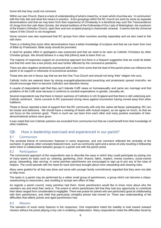Some felt that they could not comment.

Within our own Church, there is a lack of understanding of what is meant by, or even which churches are, 'in communion' with the Holy See and what this means in practice. Even groupings within the RC church are seen by some as separate denominations and that we may learn from their experience of Christianity in a beneficial way such the Transcendence of Liturgy from the Latin Mass Society, the shared traditions of the Ordinariate of Our Lady of Walsingham, the mysticism of the Eastern Orthodox Church, open floor and non-scripted praying in charismatic renewal. It seems that the Universal nature of the Church is not recognised.

Some concern was also expressed that RC groups from other countries worship separately and we also need to link with them.

There is a feeling that some other denominations have a better knowledge of scripture and that we can learn from love of Bible by Protestants: Bible study should be promoted.

A need for greater effort in apologetics was expressed and that we need to be seen as Catholic Christians by other Christian groups. We should behave in a way that [others] seek to learn from us.

The majority of responses support an ecumenical approach but there is a frequent suggestion that we could do better and that this work has a low priority and was further affected by the coronavirus pandemic.

There are also negative sentiments expressed with a view from some that the lead of the parish priest can influence the parish in its support or otherwise of ecumenical activities.

Those who are not in favour say that we are the One True Church and should not bring 'their' religion into ours.

Catholic truths are watered down by strong evangelical/pentecostal preaching and protestants spread mistruths: we should encourage them to become Catholics and abandon heresy.

A couple of respondents said that they can't tolerate CofE views on homosexuality and same sex marriage and that problems of the CofE arise because it conforms to societal expectations re gender, sexuality etc.

Several respondents say that there is historic wariness of Catholics in UK/ England and that there is still underlying anti-Catholic sentiment. Some converts to RC expressed strong views against ecumenism having moved away from other traditions.

Those in favour reported a lack of support from the RC community with only the 'same old faces' participating: RC can be insular and defensive. We should have a meeting of hearts with mutual respect, as we agree on much, so that we can focus on the common good. There is much we can learn from each other and many positive examples of interdenominational actions were given.

It was noted that non-Catholic partners are excluded from communion but that we could benefit from their knowledge of other traditions.

## <span id="page-8-0"></span>Q8: How is leadership exercised and experienced in our parish?

#### <span id="page-8-1"></span>8.1 Communion

The ecclesial theme of communion featured in some responses, and one comment reflected the centrality of the eucharist. In general, other concepts featured more, such as community spirit and a sense of unity resulting in fellowship when there is collaboration between groups in a parish and with the parish priest.

#### <span id="page-8-2"></span>8.2 Participation

The commonest approach of the respondents was to describe the ways in which they could participate by joining one of many teams for tasks such as: cleaning, gardening, choir, finance, fabric, readers, money counters, social events group, stewarding, altar serving. In some parishes parishioners are encouraged to sign-up to join any of the rotas of helpers. The covid episode with the need for track and trace brought about more stewarding and cleaning roles.

Many were grateful for all that was done and some with younger family commitments regretted that they were not able to help more.

The tasks in a parish may be performed by a rather small group of parishioners, a group which can become a clique, unwelcoming to newcomers, and unwilling to accept new offers of help.

As regards a parish council, many parishes had them. Some parishioners would like to know more about who the members are and what their remit is. The extent to which parishioners felt that they had any opportunity to contribute their ideas ranged from considerable to negligible. There was praise for priests who are particularly good at collaborating with their parishioners, and relief that particularly unhelpful priests had moved on. There was understanding of the difficulties that elderly priests and aged parishioners had.

#### <span id="page-8-3"></span>8.3 Mission

The salvation of souls rarely features in the responses. One respondent noted the inability to look toward outward mission without the priest playing a key role in enabling collaboration. Many respondents noted the difficulties faced by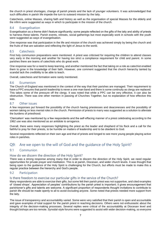the church in priest shortages, change of parish priests and the lack of younger volunteers. It was acknowledged that such difficulties in parish life impede the turn to outward mission by the laity.

Catechesis, online Masses, sharing faith and history as well as the organisation of special Masses for the elderly and the infirm were suggested as ways in which to participate in the mission of the church.

#### <span id="page-9-0"></span>8.4 Evangelisation

Evangelisation as a theme didn't feature significantly; some people reflected on the gifts of the laity and ability of priests to harness these talents. Parish events, retreats, social gatherings but most especially work in schools with the youth were suggested as ways of evangelisation.

One response was that participation in the life and mission of the church was achieved simply by being the church and the fruits of that are salvation and reflecting the light of Jesus to the world.

#### <span id="page-9-1"></span>8.5 Catechesis

First holy communion preparations were mentioned. A priest was criticised for requiring the children to attend classes very early in the morning and another for having too strict a compliance requirement for child and parent. In some parishes there are teams of catechists who do great work.

One response was for a need to keep learning, and another mentioned the fact that taking on a role as catechist enabled them to grow in the knowledge of their faith. However, one comment suggested that the church hierarchy tainted by scandal lack the credibility to be able to teach.

Overall, catechesis and formation were rarely mentioned.

#### <span id="page-9-2"></span>8.6 Ecumenism

The Church of England was mentioned in the context of the way that their parishes are managed. Their requirement to have a PPC ensures that parish leadership is never a one-man band and there is some continuity as clergy are replaced. This takes some of the pressure off the clergy. It was noted that while a PPC can be very effective, it can also be obstructive. There was one other mention in passing of Churches Together, but no explanation of how effective this was.

#### <span id="page-9-3"></span>8.7 Other issues

A few responses put forward the possibility of the church having priestesses and deaconesses and the possibility of women taking on less menial roles in the church. Permission of priests to marry was suggested as a solution to alleviate the burdens of priesthood.

'Clericalism' was mentioned by a few respondents and the self-effacing manner of a priest celebrating according to the 1962 use was also mentioned as an antidote to arrogance.

Overall, there were many responses highlighting the priest as the leader and shepherd of his flock and a call for the faithful to pray for their priests, to be humble on matters of leadership and to be obedient to God.

Several respondents reflected on their own age and that of priests and longed to see more young people playing active roles in parishes.

## <span id="page-9-4"></span>Q9: Are we open to the will of God and the guidance of the Holy Spirit?

#### <span id="page-9-5"></span>9.1 Communion

#### <span id="page-9-6"></span>How do we discern the direction of the Holy Spirit?

There was a strong response among many that in order to discern the direction of the Holy Spirit, we need regular opportunities for private prayer and meditation. This is at parish, Diocesan, and wider church levels. It was thought that being open to the guidance of the Holy Spirit is challenging for the Church, but efforts must be made to make this a regular practice between the hierarchy and God's people.

#### <span id="page-9-7"></span>9.2 Participation

#### <span id="page-9-8"></span>Is there freedom to exercise our particular gifts in the service of the Church?

Many respondents are able to exercise their gifts, but some felt their parish priest was not supportive, and cited examples of 'closed shops'. Appreciation of peoples' contributions by the parish priest is important; it gives encouragement that parishioner's gifts and talents are welcome. A significant proportion of respondents thought invitations to contribute to parish life should be made openly to all to avoid excluding anyone. Some noted that priests needed more support from the laity.

The issue of transparency and accountability varied. Some were very satisfied that their parish is open and accountable and gave examples of total support for the parish priest in reaching decisions. Others were not enthusiastic about the integrity of the decision-making processes. Several replies were critical of the accountability at Diocesan level and thought bishops are too remote. Synodal-style forums were suggested to assist with wider decision-making, so everyone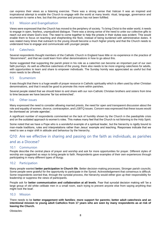can express their views as a listening exercise. There was a strong sense that Vatican II was an inspired and inspirational attempt to enable the Church to engage with the world at many levels: ritual, language, governance and ecumenism to name a few, but that this promise and process has not been fulfilled.

#### <span id="page-10-0"></span>9.3 Mission and Evangelisation

Views were expressed that the Church has moved to the periphery of society. To bring Christ to the wider world, it needs to engage in open, fearless, unprejudiced dialogue. There was a strong sense of the need to unite our collective gifts to reach out and share God's love. The need to come together to help the priests in their duties was evident. This would enable them to focus on teaching and shepherding the flock, instead of being burdened with administrative duties. It was stated many times that outreach to the young should become a much higher priority and that the Church needs to understand how to engage and communicate with younger people.

#### <span id="page-10-1"></span>9.4 Catechesis

Several respondents thought members of the Catholic Church in England have little or no experience in the practice of "discernment", and that we could learn from other denominations in how to go about this.

Some suggested that supporting the parish priest in his role as a catechist can become an important part of our own faith journeys. As well as effective catechesis of the young, there also needs to be more ongoing catechesis for adults, with opportunities to learn and share to empower individuals. The Sunday homily was appreciated as useful but that more needs to be offered.

#### <span id="page-10-2"></span>9.5 Ecumenism

It was thought that there is a huge wealth of prayer resource in Catholic spirituality which is often used by other Christian denominations, and that it would be good to promote this more within parishes.

Several people stated that we should listen to and share with our non-Catholic Christian brothers and sisters from time to time because we have become 'far too entrenched'.

#### <span id="page-10-3"></span>9.6 Other issues

Many expressed the need to consider allowing married priests, the need for open and transparent discussion about the role and equality of women, divorce, contraception, and LGBTQ issues. Concern was expressed that these issues would be dismissed as 'private agendas'.

A significant number of respondents commented on the lack of humility shown by the Church in the paedophile crisis and on the outdated approach to women's roles. This makes many feel that the Church is not listening to the Holy Spirit.

Some noted that we have a Pope who is a wonderful example of a spiritual leader, but the hierarchy is rigidly bound to man-made traditions, rules and interpretations rather than Jesus' example and teaching. Responses indicate that we need to see a major shift in attitude and behaviour by the hierarchy.

## <span id="page-10-4"></span>Q10: Are we effective in sharing and passing on the faith as individuals, as parishes and as a Diocese?

#### <span id="page-10-5"></span>10.1 Communion

People describe the central place of prayer and worship and ask for more opportunities for prayer. Different styles of worship are suggested as ways to bring people to faith. Respondents gave examples of their own experiences through participating in many different types of liturgy.

#### <span id="page-10-6"></span>10.2 Participation

Many people wanted **better participation in Church life**. Better decision-making processes; Stronger parish councils; Some people were grateful for the opportunity to participate in the Synod. Acknowledgement that consensus is difficult. Some respondents worried that, through the synodal process, the hierarchy would either give up their responsibility for leadership or suppress the views of participants.

People ask for **better communication and collaboration at all levels**. Fear that synodal decision making will 'be a large group of old white celibate men in a small room, each trying to prevent anyone else from saying anything that might rock the boat'.

#### <span id="page-10-7"></span>10.3 Mission

There needs to be **better engagement with families**; **more support for parents; better adult catechesis and an intentional mission to young adult Catholics from 17 years who are seen by many respondents as at risk of leaving the Church.**

Obstacles: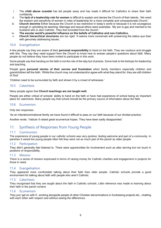- i. The **child abuse scandal** has led people away and has made it difficult for Catholics to share their faith confidently.
- ii. The **lack of a leadership role for women** is difficult to explain and denies the Church of their talents. 'We need the wisdom and sensitivity of women in roles of leadership for a more complete and compassionate Church.'
- iii. **Church doctrine** Either because the Church is too restrictive in today's world or because it is not courageous enough in upholding its teaching. Marriage and sexual ethics were examples. 'My son is gay and married to his husband who is also Catholic. They feel excluded from the church.'
- iv. **The secular world's powerful influence on the beliefs of Catholics and non-Catholics.**
- v. **Church hierarchical structures** are too rigid; 'It seems more concerned with preserving the status quo than with genuinely addressing issues.'

#### <span id="page-11-0"></span>10.4 Evangelisation

A few people say they are aware of their **personal responsibility** to hand on the faith. They are cautious and struggle with this. They say they need support from the Church to know how to answer people's questions about faith. Many people do not believe they have been invited to participate in this work.

Some people say that handing on the faith is not the role of the laity but of priests. Some look to the bishops for leadership and teaching.

People gave **personal stories of their sorrow and frustration** when family members especially children and grandchildren left the faith. 'Whilst the church may not understand/or agree with what they stand for, they are still children of God.'

'Children need to be surrounded by faith and shown it by a crowd of witnesses.'

#### <span id="page-11-1"></span>10.5 Catechesis

#### Many people agree that **Church teachings are not taught well.**

People are either critical of schools' ability to hand on the faith or have had experience of school being an important place for catechesis. Many people say that school should be the primary source of information about the faith.

#### <span id="page-11-2"></span>10.6 Ecumenism

Only two responses:

'As an interdenominational family we have found it difficult to pass on our faith because of our divided practice.'

Another wrote, 'Vatican II raised great ecumenical hopes. They have been sadly disappointed.'

## <span id="page-11-3"></span>11. Synthesis of Responses from Young People

#### <span id="page-11-4"></span>11.1 Communion

The experience of young people in our catholic schools was very positive, feeling welcome and part of a community. In parishes it varied but young people often felt they were not as much part of the parish as older people.

#### <span id="page-11-5"></span>11.2 Participation

They didn't generally feel listened to. There were opportunities for involvement such as altar serving but not much in positions of responsibility.

#### <span id="page-11-6"></span>11.3 Mission

There is a sense of mission expressed in terms of raising money for Catholic charities and engagement in projects for those in need.

#### <span id="page-11-7"></span>11.4 Evangelisation

They appeared more comfortable talking about their faith than older people. Catholic schools provide a good environment for talking about faith with people who aren't Catholic.

#### <span id="page-11-8"></span>11.5 Catechesis

They recognised that they are taught about the faith in Catholic schools. Little reference was made to learning about their faith in the parish context.

#### <span id="page-11-9"></span>11.6 Ecumenism

They just 'get on with it', working alongside people of other Christian denominations in fundraising projects etc., chatting with each other with respect and without seeing the differences.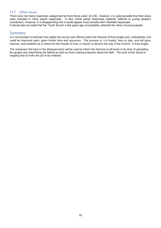#### <span id="page-12-0"></span>11.7 Other issues

There were not many responses categorised as from those under 18 (28). However, it is quite possible that their views were included in many parish responses. In fact, some parish responses explicitly referred to young people's contribution. However, it is disappointing that it would appear most schools didn't facilitate responses. It should also be noted that the 'Youth Synod' a few years ago successfully collected the views of young people.

#### <span id="page-12-1"></span>Summary

It is not possible to estimate how widely the survey was offered within the Diocese of East Anglia and, undoubtedly, this could be improved upon, given further time and resources. The process is, it is hoped, here to stay, and will grow, improve, and establish as a means for the People of God, in Synod, to discern the way of the Church. in East Anglia

The responses fed back to the diocesan team will be used to inform the Diocese at all levels in its work of spreading the gospel and catechising the faithful as well as those making enquiries about the faith. The work of the Synod is ongoing and its fruits are yet to be realised.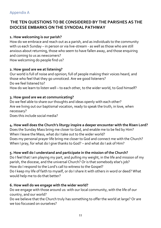## <span id="page-13-0"></span>**THE TEN QUESTIONS TO BE CONSIDERED BY THE PARISHES AS THE DIOCESE EMBARKS ON THE SYNODAL PATHWAY**

## **1. How welcoming is our parish?**

How do we embrace and reach out as a parish, and as individuals to the community with us each Sunday – in person or via live-stream - as well as those who are still anxious about returning, those who seem to have fallen away, and those enquiring and coming to us as newcomers? How welcoming do people find us?

## **2. How good are we at listening?**

Our world is full of noise and opinion; full of people making their voices heard, and those who feel that they go unnoticed. Are we good listeners? Do we feel listened to? How do we learn to listen well – to each other, to the wider world, to God himself?

## **3. How good are we at communicating?**

Do we feel able to share our thoughts and ideas openly with each other? Are we living out our baptismal vocation, ready to speak the truth, in love, when necessary?

Does this include social media?

## **4. How well does the Church's liturgy inspire a deeper encounter with the Risen Lord?**

Does the Sunday Mass bring me closer to God, and enable me to be fed by Him? When I leave the Mass, what do I take out to the wider world? Does my personal prayer life bring me closer to God and connect me with the Church? When I pray, for what do I give thanks to God? – and what do I ask of Him?

## **5. How well do I understand and participate in the mission of the Church?**

Do I feel that I am playing my part, and pulling my weight, in the life and mission of my parish, the diocese, and the universal Church? Or is that somebody else's job? How do I respond to the Lord's call to witness to the Gospel? Do I keep my life of faith to myself, or do I share it with others in word or deed? What would help me to do that better?

## **6. How well do we engage with the wider world?**

Do we engage with those around us: with our local community, with the life of our country, and our world?

Do we believe that the Church truly has something to offer the world at large? Or are we too focussed on ourselves?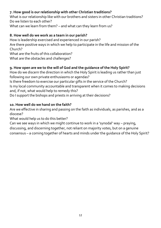## **7. How good is our relationship with other Christian traditions?**

What is our relationship like with our brothers and sisters in other Christian traditions? Do we listen to each other?

What can we learn from them? – and what can they learn from us?

## **8. How well do we work as a team in our parish?**

How is leadership exercised and experienced in our parish? Are there positive ways in which we help to participate in the life and mission of the Church? What are the fruits of this collaboration?

What are the obstacles and challenges?

## **9. How open are we to the will of God and the guidance of the Holy Spirit?**

How do we discern the direction in which the Holy Spirit is leading us rather than just following our own private enthusiasms or agendas?

Is there freedom to exercise our particular gifts in the service of the Church? Is my local community accountable and transparent when it comes to making decisions and, if not, what would help to remedy this?

Do I support the bishops and priests in arriving at their decisions?

## **10. How well do we hand on the faith?**

Are we effective in sharing and passing on the faith as individuals, as parishes, and as a diocese?

What would help us to do this better?

Can we see ways in which we might continue to work in a 'synodal' way – praying, discussing, and discerning together, not reliant on majority votes, but on a genuine consensus – a coming together of hearts and minds under the guidance of the Holy Spirit?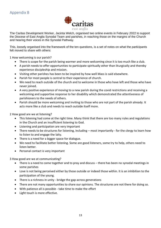

<span id="page-15-0"></span>The Caritas Development Worker, Jacinta Welch, organised two online events in February 2022 to support the Diocese of East Anglia Synodal Team and parishes, in reaching those on the margins of the Church and hearing their voices in the Synodal Pathway.

This, loosely organised into the framework of the ten questions, is a set of notes on what the participants felt moved to share with others:

1 How welcoming is our parish?

- There is scope for the parish being warmer and more welcoming since it is too much like a club.
- A parish needs to offer opportunities to participate spiritually other than liturgically and thereby experience discipleship and mission.
- Visiting other parishes has been to be inspired by how well Mass is said elsewhere.
- Parish for most people is central to their experience of church.
- We need to reach outside of the church and to welcome in those who have left and those who have never joined.
- A very positive experience of moving to a new parish during the covid restrictions and receiving a welcoming and supportive response to her disability which demonstrated the attentiveness of parishioners to the needs of others.
- Parish should be more welcoming and inviting to those who are not part of the parish already. It acts more like a club and needs to reach outside itself more.

2 How good are we at listening?

- This listening had come at the right time. Many think that there are too many rules and regulations in the Church and an insufficient listening to God.
- Listening and participation are very important
- There needs to be structures for listening, including most importantly for the clergy to learn how to listen to and engage the laity.
- There is a need for a bigger space for dialogue.
- We need to facilitate better listening. Some are good listeners, some try to help, others need to listen better.
- Personal contact is very important

3 How good are we at communicating?

- There is a need to come together and to pray and discuss there has been no synodal meetings in some parishes
- Love is not being perceived either by those outside or indeed those within. It is an inhibition to the participation of the young.
- There is a richness in unity bridge the gap across generations
- There are not many opportunities to share our opinions. The structures are not there for doing so.
- With patience all is possible take time to make the effort
- Light touch is more effective.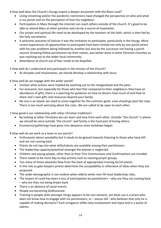4 How well does the Church's liturgy inspire a deeper encounter with the Risen Lord?

- Living streaming and/or the pandemic restrictions have changed the perspective on who and what is my parish and on the perception of love thy neighbour.
- Participation in Mass through the internet can reach others outside of the church. It's good to be able to attend Mass at other parishes and can be a source of inspiration.
- Our prayer and spiritual life need to be developed by the teachers of the faith, which is then fed by the holy sacraments.
- A welcome outcome of Vatican II was the invitation to participate, particularly in the liturgy. More recent experiences of opportunities to participate have been limited not only by one parish priest with his own problems being followed by another but also by the successor not having a parish council. Knowing fellow parishioners by their names, was better done in other Christian churches as was reaching out to the wider local community.
- Attendance at church out of fear needs to be dispelled

5 How well do I understand and participate in the mission of the Church?

• As disciples and missionaries, we should develop a relationship with Jesus.

6 How well do we engage with the wider world?

- Unclear what actions were implied by reaching out to the marginalised and the poor.
- For everyone, but especially for those who feel that compared to their neighbours they have an abundance of gifts, there is a yearning for guidance on how to discern how much of and how to share one's own gifts and resources beyond your family.
- No one is an island; we need to come together for the common good. Love should go past the rules. There is too much worrying about the rules. We are called to be open to each other.

7 How good is our relationship with other Christian traditions?

- By looking at other Christians we can learn and love from each other. Outside "the church" is where we should be since outside "the church" and family is the hard part of loving others.
- Ecumenical gatherings have gone into abeyance since lockdown began.

8 How well do we work as a team in our parish?

- Enthusiastic about synodality but it needs to be geared towards listening to those who have left and are not coming back
- Priests do not tap into what skills/talents are available among their parishioners
- The leadership capacity/potential amongst the women is neglected.
- Children and young people, other than at their First Communions and Confirmations are invisible
- There needs to be more day-to-day activity such as reviving prayer groups
- Too many of these obstacles flow from the (lack of appropriate) training for/of priests.
- In the role as gate keepers priests determine the acceptability or otherwise of ideas when they are proposed.
- The wider demographic is not evident when elderly white men fill most leadership roles.
- The impact of covid has been a loss of participation by parishioners why are they not coming back – why are they not being drawn back
- There is an absence of social events.
- People are becoming disillusioned.
- Training in people skills amongst clergy appears to be non-existent, yet what use is a priest who does not know how to engage with his parishioners, or – worse still - who believes that only he is capable of making decisions? Such arrogance stifles laity involvement and input and is a waste of talents.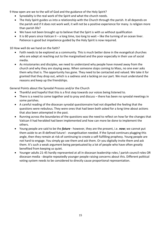9 How open are we to the will of God and the guidance of the Holy Spirit?

- Synodality is the real work of the Spirit and what the church needs.
- The Holy Spirit guides us into a relationship with the Church through the parish. It all depends on the parish and if it does not work well, it will not be a positive experience for many. Is religion more than parish life?
- We have not been brought up to believe that the Spirt is with us without qualification
- $\bullet$  It is 60 years since Vatican II a long time, too long to wait like the turning of an ocean liner. Patience is good but impatience guided by the Holy Spirit is now required.

10 How well do we hand on the faith?

- Faith needs to be explored as a community. This is much better done in the evangelical churches who are adept at reaching out to the marginalised and the poor especially in their use of social media.
- As missionaries and disciples, we need to understand why people have moved away from the church and why they are staying away. When someone stops coming to Mass, no one ever asks them why that is. The opportunity has gone. They need to be contacted and valued. We take it for granted that they drop out, which is a sadness and a lacking on our part. We must understand the reasons and keep up the friendships.

General Points about the Synodal Process and/or the Church

- Thankful and hopeful that this is a first step towards our voices being listened to.
- There is a need to come together and to pray and discuss there has been no synodal meetings in some parishes.
- A careful reading of the diocesan synodal questionnaire had not dispelled the feeling that the questions were nebulous. They were ones that had been both asked for a long time about actions that also been attempted in the past.
- Running across the boundaries of the questions was the need to reflect on how far the changes that Vatican II had heralded had been implemented and how can more be done to implement the others.
- Young people are said to be the *future* however, they are the present, i.e. *now*; we cannot put them aside to an ill-defined future! - evangelisation needed. If the Synod continues plugging this angle, then they remain at risk of continuing to create a self-fulfilling prophesy. Young people are not hard to engage. You simply go see them and ask them. Or you digitally invite them and ask them. It's such a weak argument being perpetuated by a lot of people who have often greatly benefited from keeping us quiet.
- Younger adults 21-45 hardly represented at all in diocesan leadership roles / parish council roles OR diocesan media - despite repeatedly younger people raising concerns about this. Different political voting system needs to be considered to directly cause proportional representation.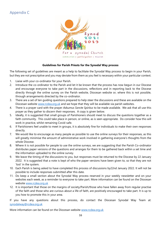## <span id="page-18-0"></span>Appendix C



#### **Guidelines for Parish Priests for the Synodal Way process**

The following set of guidelines are meant as a help to facilitate the Synodal Way process to begin in your Parish, but they are not prescriptive and you may deviate from them as you feel is necessary within your particular context.

- 1. Liaise with your co-ordinator for your Parish.
- 2. Introduce the co-ordinator to the Parish and let it be known that the process has now begun in our Diocese and encourage everyone to take part in the discussions, reflections and in reporting back to the Diocese directly through the online survey on the Parish website, Diocesan website or, where this is not possible, through arrangements directed by the co-ordinator.
- 3. There are a set of ten guiding questions prepared to help steer the discussions and these are available on the Diocesan website [www.rcdea.org.uk](http://www.rcdea.org.uk/) and we hope that they will be available via parish websites.
- 4. There is a prayer card with the prayer *Adsumus Sancte Spiritus* to be made available. We ask that all use this prayer as they gather to discern their responses. A copy is given below.
- 5. Ideally, it is suggested that small groups of Parishioners should meet to discuss the questions together as a faith community. This could take place in person, or online, as is seen appropriate. Do consider how this will work in practice, whilst remaining Covid-safe.
- 6. If Parishioners feel unable to meet in groups, it is absolutely fine for individuals to make their own responses directly.
- 7. We would like to encourage as many people as possible to use the online surveys for their responses, as this will greatly minimise the amount of administrative work involved in gathering everyone's thoughts from the whole Diocese.
- 8. Where it is not possible for people to use the online surveys, we are suggesting that the Parish Co-ordinator distributes paper versions of the questions and arranges for them to be gathered back within a set time and the information uploaded to the online survey.
- 9. We leave the timing of the discussions to you, but responses must be returned to the Diocese by 22 January 2022. It is suggested that a note is kept of who the paper versions have been given to, so that they are not 'lost' in the system.
- 10. Each Parish is being asked to have completed this process of discussions by22nd January 2022. It will not be possible to include responses submitted after this date.
- 11. Do keep a small section about the Synodal Way process reserved in your weekly newsletter and on your websites each week, as a reminder to everyone to take part. More information can be found on the Diocesan website [www.rcdea.org.uk](http://www.rcdea.org.uk/)
- 12. It is important that those on the margins of society/Parish/those who have fallen away from regular practise of the faith and those who are curious about a life of faith, are positively encouraged to take part. It is up to you how to promote this in your area.

If you have any questions about this process, do contact the Diocesan Synodal Way Team at: [synodalway@rcdea.org.uk](mailto:synodalway@rcdea.org.uk)

More information can be found on the Diocesan website [www.rcdea.org.uk](http://www.rcdea.org.uk/)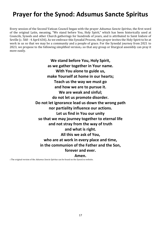# **Prayer for the Synod: Adsumus Sancte Spiritus**

Every session of the Second Vatican Council began with the prayer *Adsumus Sancte Spiritus*, the first word of the original Latin, meaning, "We stand before You, Holy Spirit," which has been historically used at Councils, Synods and other Church gatherings for hundreds of years, and is attributed to Saint Isidore of Seville (c. 560 - 4 April 636). As we embrace this Synodal Process, this prayer invites the Holy Spirit to be at work in us so that we may be a community and a people of grace. For the Synodal journey from 2021 to 2023, we propose to the following simplified version,1 so that any group or liturgical assembly can pray it more easily.

> **We stand before You, Holy Spirit, as we gather together in Your name. With You alone to guide us, make Yourself at home in our hearts; Teach us the way we must go and how we are to pursue it. We are weak and sinful; do not let us promote disorder. Do not let ignorance lead us down the wrong path nor partiality influence our actions. Let us find in You our unity so that we may journey together to eternal life and not stray from the way of truth and what is right. All this we ask of You, who are at work in every place and time, in the communion of the Father and the Son, forever and ever.**

#### **Amen.**

1 The original version of the *Adsumus Sancte Spiritus* can be found on the Synod.va website.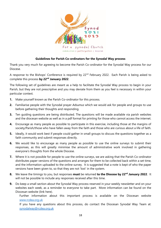

#### **Guidelines for Parish Co-ordinators for the Synodal Way process**

Thank you very much for agreeing to become the Parish Co-ordinator for the Synodal Way process for our Diocese.

A response to the Bishops' Conference is required by 22<sup>nd</sup> February 2022. Each Parish is being asked to complete this process **by 22nd January 2022**.

The following set of guidelines are meant as a help to facilitate the Synodal Way process to begin in your Parish, but they are not prescriptive and you may deviate from them as you feel is necessary in within your particular context.

- **1.** Make yourself known as the Parish Co-ordinator for this process.
- **2.** Familiarise people with the Synodal prayer *Adsumus* which we would ask for people and groups to use before gathering their thoughts and responding.
- **3.** Ten guiding questions are being distributed. The questions will be made available via parish websites and the diocesan website as well as in a pdf format for printing for those who cannot access the internet.
- **4.** Encourage as many people as possible to participate in this exercise, including those at the margins of society/Parish/those who have fallen away from the faith and those who are curious about a life of faith.
- **5.** Ideally, it would work best if people could gather in small groups to discuss the questions together as a faith community and submit responses directly.
- **6.** We would like to encourage as many people as possible to use the online surveys to submit their responses, as this will greatly minimise the amount of administrative work involved in gathering everyone's thoughts from the whole Diocese.
- **7.** Where it is not possible for people to use the online surveys, we are asking that the Parish Co-ordinator distributes paper versions of the questions and arranges for them to be collected back within a set time, and the information uploaded to the online survey. It is suggested that a note is kept of who the paper versions have been given to, so that they are not 'lost' in the system.
- **8.** We leave the timings to you, but responses **must** be returned **to the Diocese by 22nd January 2022**. It will not be possible to include any responses received after this time.
- **9.** Do keep a small section about the Synodal Way process reserved in your weekly newsletter and on your websites each week, as a reminder to everyone to take part. More information can be found on the Diocesan website (link here).

Further information about this important process is available on the Diocesan website [www.rcdea.org.uk](http://www.rcdea.org.uk/) 

If you have any questions about this process, do contact the Diocesan Synodal Way Team at: [synodalway@rcdea.org.uk](mailto:synodalway@rcdea.org.uk)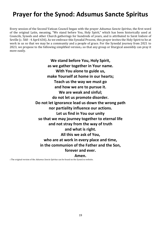# **Prayer for the Synod: Adsumus Sancte Spiritus**

Every session of the Second Vatican Council began with the prayer *Adsumus Sancte Spiritus*, the first word of the original Latin, meaning, "We stand before You, Holy Spirit," which has been historically used at Councils, Synods and other Church gatherings for hundreds of years, and is attributed to Saint Isidore of Seville (c. 560 - 4 April 636). As we embrace this Synodal Process, this prayer invites the Holy Spirit to be at work in us so that we may be a community and a people of grace. For the Synodal journey from 2021 to 2023, we propose to the following simplified version,1 so that any group or liturgical assembly can pray it more easily.

> **We stand before You, Holy Spirit, as we gather together in Your name. With You alone to guide us, make Yourself at home in our hearts; Teach us the way we must go and how we are to pursue it. We are weak and sinful; do not let us promote disorder. Do not let ignorance lead us down the wrong path nor partiality influence our actions. Let us find in You our unity so that we may journey together to eternal life and not stray from the way of truth and what is right. All this we ask of You, who are at work in every place and time, in the communion of the Father and the Son, forever and ever.**

#### **Amen.**

1 The original version of the *Adsumus Sancte Spiritus* can be found on the Synod.va website.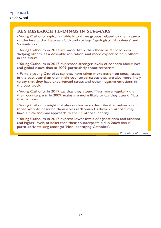## <span id="page-22-0"></span>**KEY RESEARCH FINDINGS IN SUMMARY**

• Young Catholics typically divide into three groups related to their stance on the interaction between faith and society: 'apologists', 'abstainers' and 'assimilators'.

• Young Catholics in 2017 are more likely than those in 2009 to view 'helping others' as a desirable aspiration, and more expect to help others in the future.

• Young Catholics in 2017 expressed stronger levels of concern about local and global issues than in 2009, particularly about terrorism.

• Female young Catholics say they have taken more action on social issues in the past year than their male counterparts; but they are also more likely to say that they have experienced stress and other negative emotions in the past week.

• Young Catholics in 2017 say that they attend Mass more regularly than their counterparts in 2009; males are more likely to say they attend Mass than females.

• Young Catholics might not always choose to describe themselves as such; those who do describe themselves as 'Roman Catholic / Catholic' may have a pick-and-mix approach to their Catholic identity.

• Young Catholics in 2017 express lower levels of agnosticism and atheism and higher levels of belief than their counterparts did in 2009; this is particularly striking amongst 'Non Identifying Catholics'.

Presentation1 - PowerP